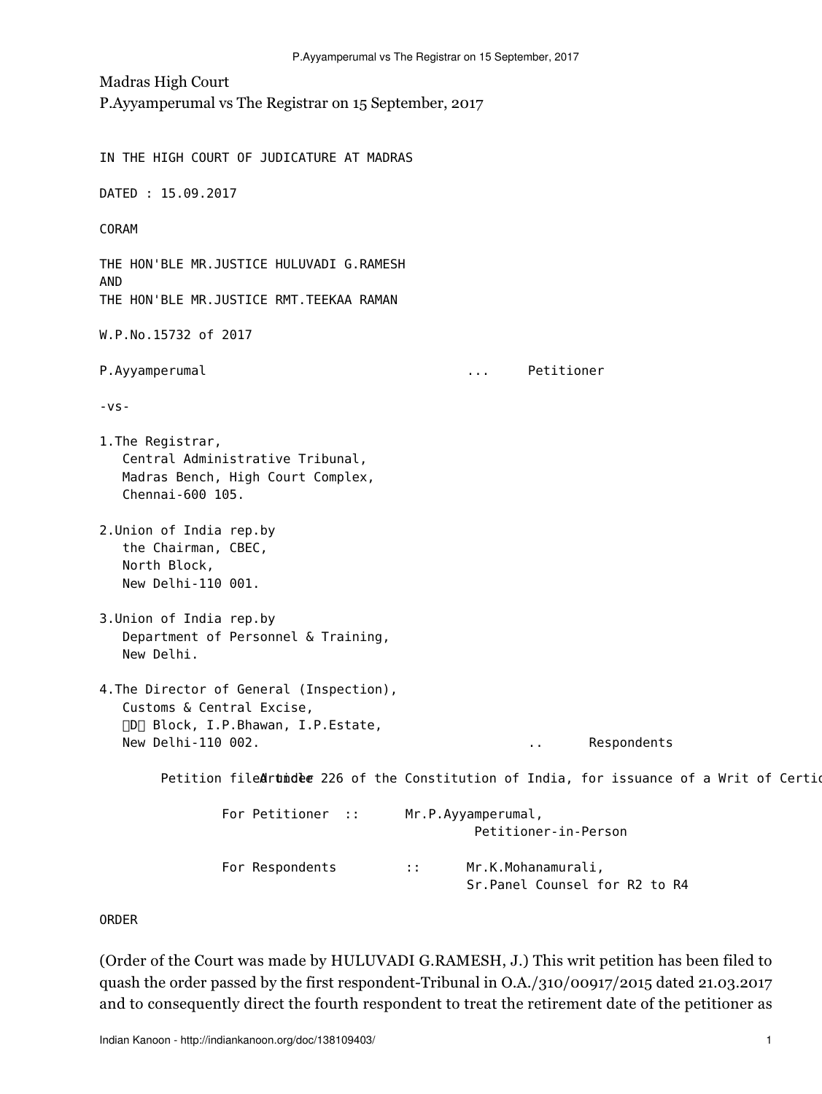Madras High Court P.Ayyamperumal vs The Registrar on 15 September, 2017

IN THE HIGH COURT OF JUDICATURE AT MADRAS DATED : 15.09.2017 CORAM THE HON'BLE MR.JUSTICE HULUVADI G.RAMESH AND THE HON'BLE MR.JUSTICE RMT.TEEKAA RAMAN W.P.No.15732 of 2017 P.Ayyamperumal ... Petitioner  $-VS-$ 1.The Registrar, Central Administrative Tribunal, Madras Bench, High Court Complex, Chennai-600 105. 2.Union of India rep.by the Chairman, CBEC, North Block, New Delhi-110 001. 3.Union of India rep.by Department of Personnel & Training, New Delhi. 4.The Director of General (Inspection), Customs & Central Excise, D Block, I.P.Bhawan, I.P.Estate, New Delhi-110 002. https://www.facebook.com/intervalue.com/intervalue.com/intervalue.com/intervalue.com/interv Petition filedrundee 226 of the Constitution of India, for issuance of a Writ of Certio For Petitioner :: Mr.P.Ayyamperumal, Petitioner-in-Person For Respondents :: Mr.K.Mohanamurali, Sr.Panel Counsel for R2 to R4

ORDER

(Order of the Court was made by HULUVADI G.RAMESH, J.) This writ petition has been filed to quash the order passed by the first respondent-Tribunal in O.A./310/00917/2015 dated 21.03.2017 and to consequently direct the fourth respondent to treat the retirement date of the petitioner as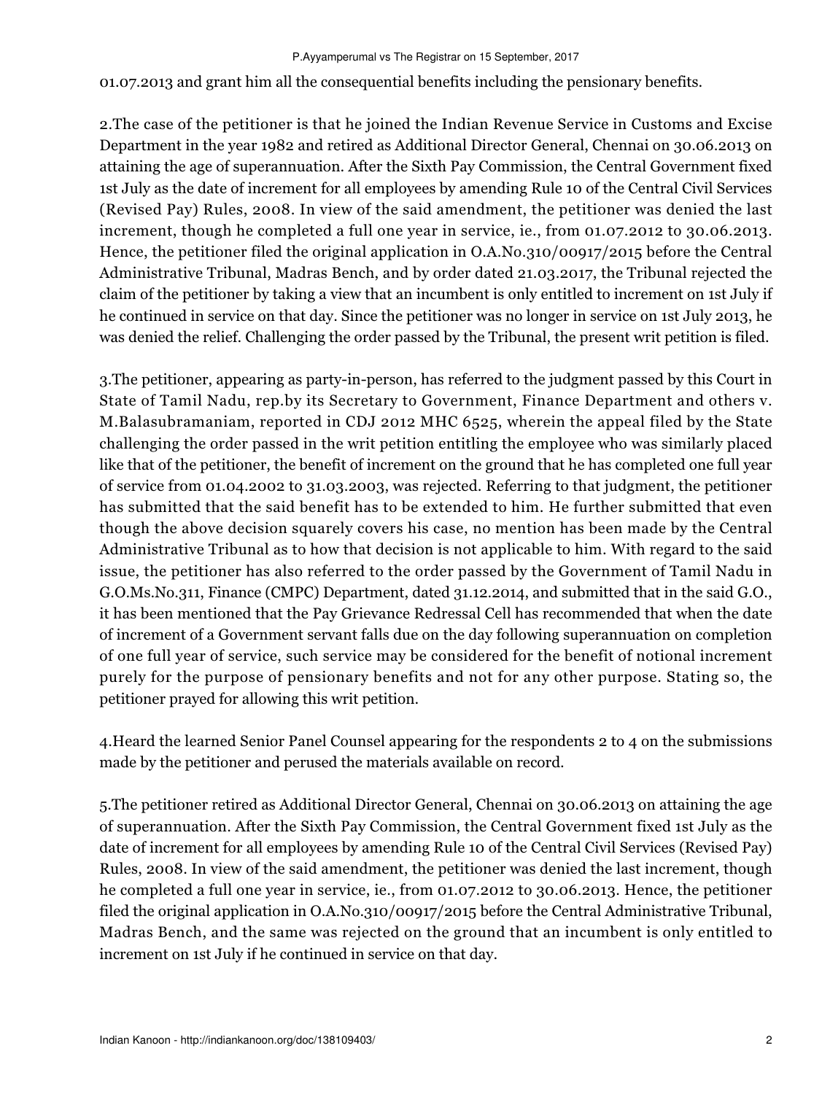01.07.2013 and grant him all the consequential benefits including the pensionary benefits.

2.The case of the petitioner is that he joined the Indian Revenue Service in Customs and Excise Department in the year 1982 and retired as Additional Director General, Chennai on 30.06.2013 on attaining the age of superannuation. After the Sixth Pay Commission, the Central Government fixed 1st July as the date of increment for all employees by amending Rule 10 of the Central Civil Services (Revised Pay) Rules, 2008. In view of the said amendment, the petitioner was denied the last increment, though he completed a full one year in service, ie., from 01.07.2012 to 30.06.2013. Hence, the petitioner filed the original application in O.A.No.310/00917/2015 before the Central Administrative Tribunal, Madras Bench, and by order dated 21.03.2017, the Tribunal rejected the claim of the petitioner by taking a view that an incumbent is only entitled to increment on 1st July if he continued in service on that day. Since the petitioner was no longer in service on 1st July 2013, he was denied the relief. Challenging the order passed by the Tribunal, the present writ petition is filed.

3.The petitioner, appearing as party-in-person, has referred to the judgment passed by this Court in State of Tamil Nadu, rep.by its Secretary to Government, Finance Department and others v. M.Balasubramaniam, reported in CDJ 2012 MHC 6525, wherein the appeal filed by the State challenging the order passed in the writ petition entitling the employee who was similarly placed like that of the petitioner, the benefit of increment on the ground that he has completed one full year of service from 01.04.2002 to 31.03.2003, was rejected. Referring to that judgment, the petitioner has submitted that the said benefit has to be extended to him. He further submitted that even though the above decision squarely covers his case, no mention has been made by the Central Administrative Tribunal as to how that decision is not applicable to him. With regard to the said issue, the petitioner has also referred to the order passed by the Government of Tamil Nadu in G.O.Ms.No.311, Finance (CMPC) Department, dated 31.12.2014, and submitted that in the said G.O., it has been mentioned that the Pay Grievance Redressal Cell has recommended that when the date of increment of a Government servant falls due on the day following superannuation on completion of one full year of service, such service may be considered for the benefit of notional increment purely for the purpose of pensionary benefits and not for any other purpose. Stating so, the petitioner prayed for allowing this writ petition.

4.Heard the learned Senior Panel Counsel appearing for the respondents 2 to 4 on the submissions made by the petitioner and perused the materials available on record.

5.The petitioner retired as Additional Director General, Chennai on 30.06.2013 on attaining the age of superannuation. After the Sixth Pay Commission, the Central Government fixed 1st July as the date of increment for all employees by amending Rule 10 of the Central Civil Services (Revised Pay) Rules, 2008. In view of the said amendment, the petitioner was denied the last increment, though he completed a full one year in service, ie., from 01.07.2012 to 30.06.2013. Hence, the petitioner filed the original application in O.A.No.310/00917/2015 before the Central Administrative Tribunal, Madras Bench, and the same was rejected on the ground that an incumbent is only entitled to increment on 1st July if he continued in service on that day.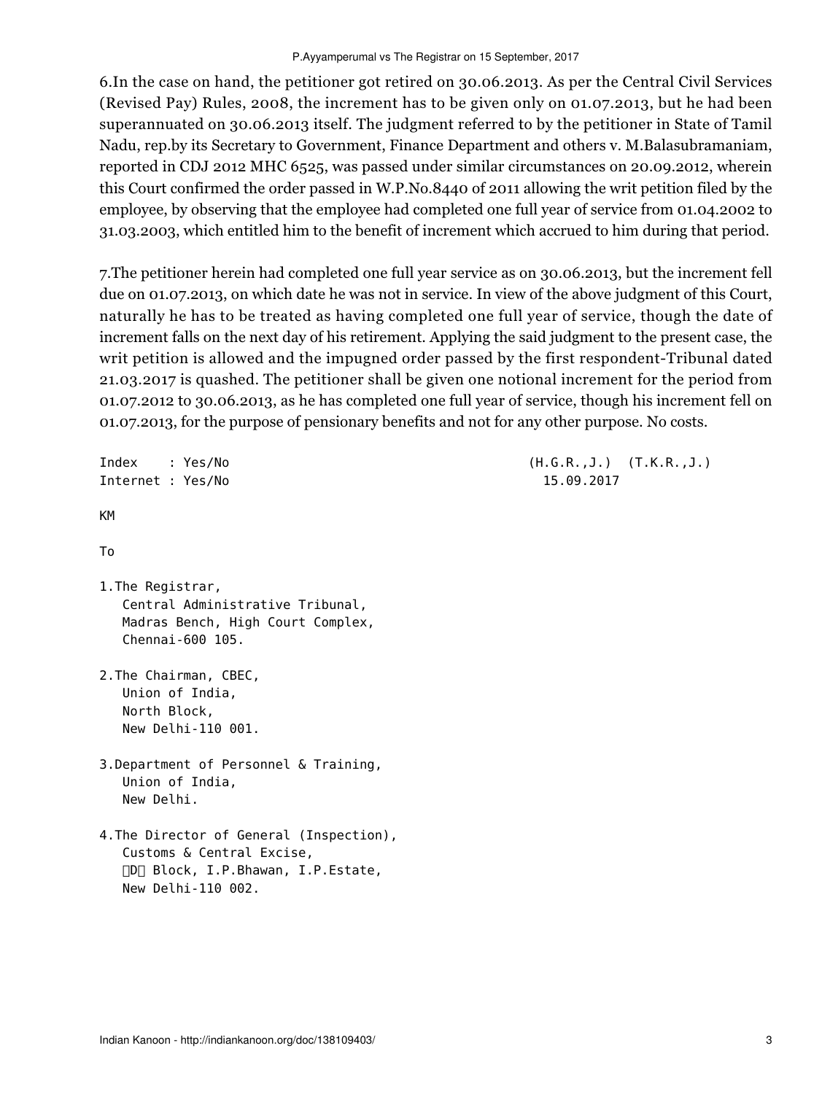6.In the case on hand, the petitioner got retired on 30.06.2013. As per the Central Civil Services (Revised Pay) Rules, 2008, the increment has to be given only on 01.07.2013, but he had been superannuated on 30.06.2013 itself. The judgment referred to by the petitioner in State of Tamil Nadu, rep.by its Secretary to Government, Finance Department and others v. M.Balasubramaniam, reported in CDJ 2012 MHC 6525, was passed under similar circumstances on 20.09.2012, wherein this Court confirmed the order passed in W.P.No.8440 of 2011 allowing the writ petition filed by the employee, by observing that the employee had completed one full year of service from 01.04.2002 to 31.03.2003, which entitled him to the benefit of increment which accrued to him during that period.

7.The petitioner herein had completed one full year service as on 30.06.2013, but the increment fell due on 01.07.2013, on which date he was not in service. In view of the above judgment of this Court, naturally he has to be treated as having completed one full year of service, though the date of increment falls on the next day of his retirement. Applying the said judgment to the present case, the writ petition is allowed and the impugned order passed by the first respondent-Tribunal dated 21.03.2017 is quashed. The petitioner shall be given one notional increment for the period from 01.07.2012 to 30.06.2013, as he has completed one full year of service, though his increment fell on 01.07.2013, for the purpose of pensionary benefits and not for any other purpose. No costs.

```
Index : Yes/No (H.G.R.,J.) (T.K.R.,J.)
Internet : Yes/No 15.09.2017
KM
To
1.The Registrar,
   Central Administrative Tribunal,
   Madras Bench, High Court Complex,
   Chennai-600 105.
2.The Chairman, CBEC,
   Union of India,
   North Block,
   New Delhi-110 001.
3.Department of Personnel & Training,
   Union of India,
   New Delhi. 
4.The Director of General (Inspection),
   Customs & Central Excise,
    D Block, I.P.Bhawan, I.P.Estate,
   New Delhi-110 002.
```